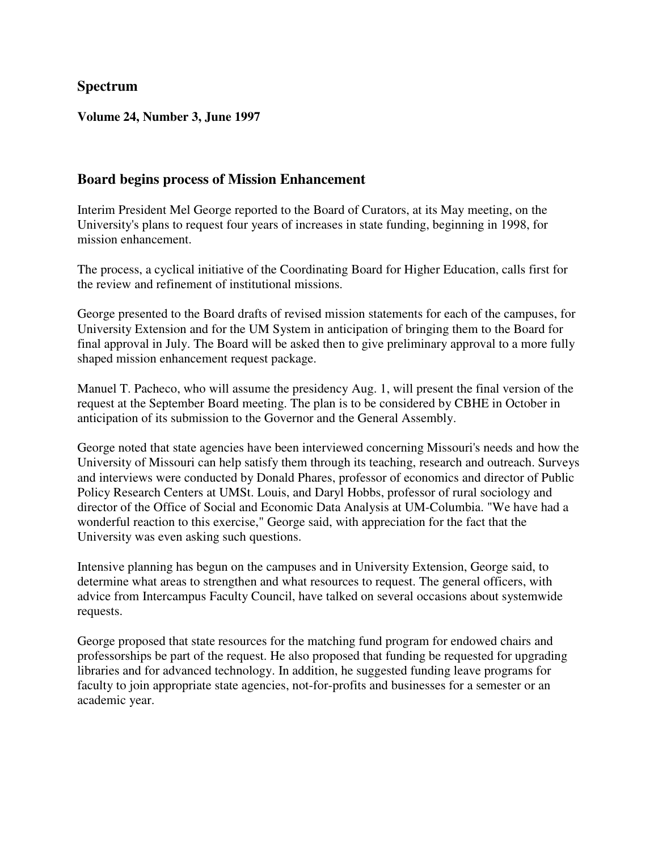### **Spectrum**

#### **Volume 24, Number 3, June 1997**

### **Board begins process of Mission Enhancement**

Interim President Mel George reported to the Board of Curators, at its May meeting, on the University's plans to request four years of increases in state funding, beginning in 1998, for mission enhancement.

The process, a cyclical initiative of the Coordinating Board for Higher Education, calls first for the review and refinement of institutional missions.

George presented to the Board drafts of revised mission statements for each of the campuses, for University Extension and for the UM System in anticipation of bringing them to the Board for final approval in July. The Board will be asked then to give preliminary approval to a more fully shaped mission enhancement request package.

Manuel T. Pacheco, who will assume the presidency Aug. 1, will present the final version of the request at the September Board meeting. The plan is to be considered by CBHE in October in anticipation of its submission to the Governor and the General Assembly.

George noted that state agencies have been interviewed concerning Missouri's needs and how the University of Missouri can help satisfy them through its teaching, research and outreach. Surveys and interviews were conducted by Donald Phares, professor of economics and director of Public Policy Research Centers at UMSt. Louis, and Daryl Hobbs, professor of rural sociology and director of the Office of Social and Economic Data Analysis at UM-Columbia. "We have had a wonderful reaction to this exercise," George said, with appreciation for the fact that the University was even asking such questions.

Intensive planning has begun on the campuses and in University Extension, George said, to determine what areas to strengthen and what resources to request. The general officers, with advice from Intercampus Faculty Council, have talked on several occasions about systemwide requests.

George proposed that state resources for the matching fund program for endowed chairs and professorships be part of the request. He also proposed that funding be requested for upgrading libraries and for advanced technology. In addition, he suggested funding leave programs for faculty to join appropriate state agencies, not-for-profits and businesses for a semester or an academic year.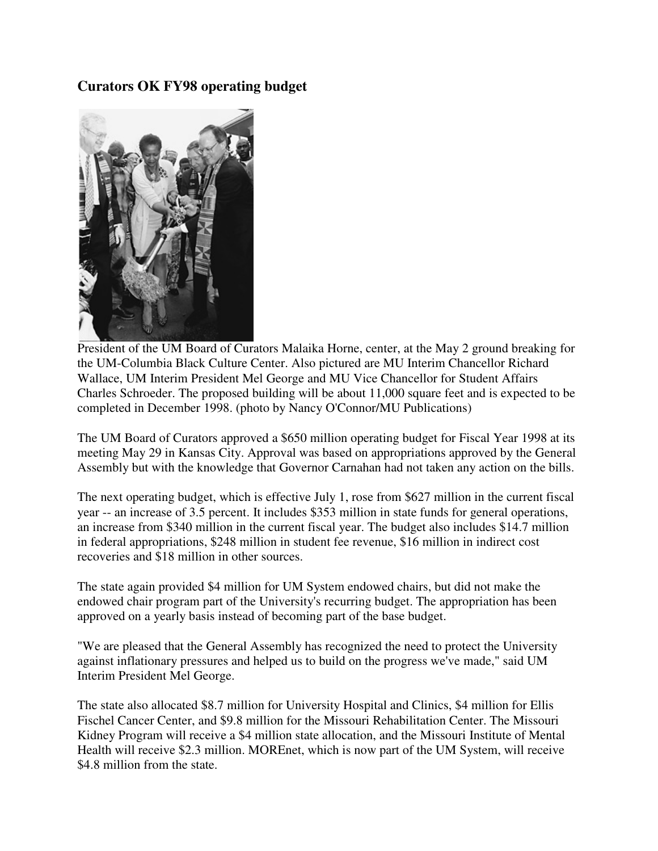### **Curators OK FY98 operating budget**



President of the UM Board of Curators Malaika Horne, center, at the May 2 ground breaking for the UM-Columbia Black Culture Center. Also pictured are MU Interim Chancellor Richard Wallace, UM Interim President Mel George and MU Vice Chancellor for Student Affairs Charles Schroeder. The proposed building will be about 11,000 square feet and is expected to be completed in December 1998. (photo by Nancy O'Connor/MU Publications)

The UM Board of Curators approved a \$650 million operating budget for Fiscal Year 1998 at its meeting May 29 in Kansas City. Approval was based on appropriations approved by the General Assembly but with the knowledge that Governor Carnahan had not taken any action on the bills.

The next operating budget, which is effective July 1, rose from \$627 million in the current fiscal year -- an increase of 3.5 percent. It includes \$353 million in state funds for general operations, an increase from \$340 million in the current fiscal year. The budget also includes \$14.7 million in federal appropriations, \$248 million in student fee revenue, \$16 million in indirect cost recoveries and \$18 million in other sources.

The state again provided \$4 million for UM System endowed chairs, but did not make the endowed chair program part of the University's recurring budget. The appropriation has been approved on a yearly basis instead of becoming part of the base budget.

"We are pleased that the General Assembly has recognized the need to protect the University against inflationary pressures and helped us to build on the progress we've made," said UM Interim President Mel George.

The state also allocated \$8.7 million for University Hospital and Clinics, \$4 million for Ellis Fischel Cancer Center, and \$9.8 million for the Missouri Rehabilitation Center. The Missouri Kidney Program will receive a \$4 million state allocation, and the Missouri Institute of Mental Health will receive \$2.3 million. MOREnet, which is now part of the UM System, will receive \$4.8 million from the state.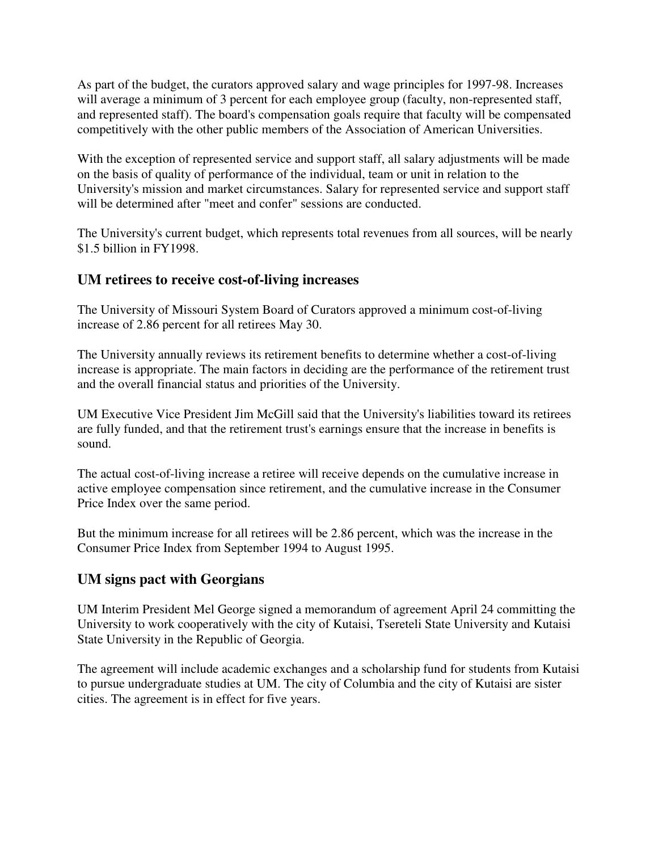As part of the budget, the curators approved salary and wage principles for 1997-98. Increases will average a minimum of 3 percent for each employee group (faculty, non-represented staff, and represented staff). The board's compensation goals require that faculty will be compensated competitively with the other public members of the Association of American Universities.

With the exception of represented service and support staff, all salary adjustments will be made on the basis of quality of performance of the individual, team or unit in relation to the University's mission and market circumstances. Salary for represented service and support staff will be determined after "meet and confer" sessions are conducted.

The University's current budget, which represents total revenues from all sources, will be nearly \$1.5 billion in FY1998.

### **UM retirees to receive cost-of-living increases**

The University of Missouri System Board of Curators approved a minimum cost-of-living increase of 2.86 percent for all retirees May 30.

The University annually reviews its retirement benefits to determine whether a cost-of-living increase is appropriate. The main factors in deciding are the performance of the retirement trust and the overall financial status and priorities of the University.

UM Executive Vice President Jim McGill said that the University's liabilities toward its retirees are fully funded, and that the retirement trust's earnings ensure that the increase in benefits is sound.

The actual cost-of-living increase a retiree will receive depends on the cumulative increase in active employee compensation since retirement, and the cumulative increase in the Consumer Price Index over the same period.

But the minimum increase for all retirees will be 2.86 percent, which was the increase in the Consumer Price Index from September 1994 to August 1995.

## **UM signs pact with Georgians**

UM Interim President Mel George signed a memorandum of agreement April 24 committing the University to work cooperatively with the city of Kutaisi, Tsereteli State University and Kutaisi State University in the Republic of Georgia.

The agreement will include academic exchanges and a scholarship fund for students from Kutaisi to pursue undergraduate studies at UM. The city of Columbia and the city of Kutaisi are sister cities. The agreement is in effect for five years.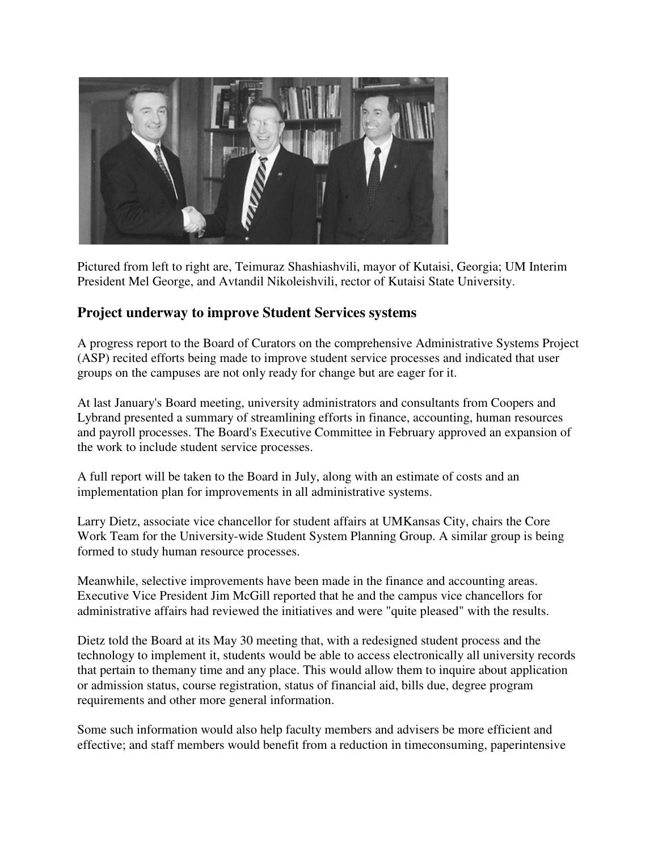

Pictured from left to right are, Teimuraz Shashiashvili, mayor of Kutaisi, Georgia; UM Interim President Mel George, and Avtandil Nikoleishvili, rector of Kutaisi State University.

### **Project underway to improve Student Services systems**

A progress report to the Board of Curators on the comprehensive Administrative Systems Project (ASP) recited efforts being made to improve student service processes and indicated that user groups on the campuses are not only ready for change but are eager for it.

At last January's Board meeting, university administrators and consultants from Coopers and Lybrand presented a summary of streamlining efforts in finance, accounting, human resources and payroll processes. The Board's Executive Committee in February approved an expansion of the work to include student service processes.

A full report will be taken to the Board in July, along with an estimate of costs and an implementation plan for improvements in all administrative systems.

Larry Dietz, associate vice chancellor for student affairs at UMKansas City, chairs the Core Work Team for the University-wide Student System Planning Group. A similar group is being formed to study human resource processes.

Meanwhile, selective improvements have been made in the finance and accounting areas. Executive Vice President Jim McGill reported that he and the campus vice chancellors for administrative affairs had reviewed the initiatives and were "quite pleased" with the results.

Dietz told the Board at its May 30 meeting that, with a redesigned student process and the technology to implement it, students would be able to access electronically all university records that pertain to themany time and any place. This would allow them to inquire about application or admission status, course registration, status of financial aid, bills due, degree program requirements and other more general information.

Some such information would also help faculty members and advisers be more efficient and effective; and staff members would benefit from a reduction in timeconsuming, paperintensive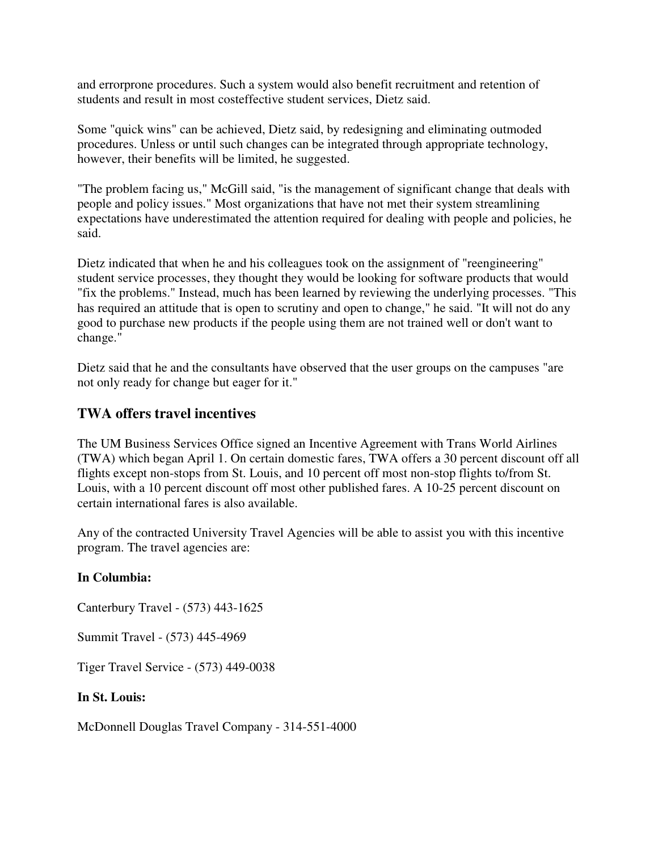and errorprone procedures. Such a system would also benefit recruitment and retention of students and result in most costeffective student services, Dietz said.

Some "quick wins" can be achieved, Dietz said, by redesigning and eliminating outmoded procedures. Unless or until such changes can be integrated through appropriate technology, however, their benefits will be limited, he suggested.

"The problem facing us," McGill said, "is the management of significant change that deals with people and policy issues." Most organizations that have not met their system streamlining expectations have underestimated the attention required for dealing with people and policies, he said.

Dietz indicated that when he and his colleagues took on the assignment of "reengineering" student service processes, they thought they would be looking for software products that would "fix the problems." Instead, much has been learned by reviewing the underlying processes. "This has required an attitude that is open to scrutiny and open to change," he said. "It will not do any good to purchase new products if the people using them are not trained well or don't want to change."

Dietz said that he and the consultants have observed that the user groups on the campuses "are not only ready for change but eager for it."

### **TWA offers travel incentives**

The UM Business Services Office signed an Incentive Agreement with Trans World Airlines (TWA) which began April 1. On certain domestic fares, TWA offers a 30 percent discount off all flights except non-stops from St. Louis, and 10 percent off most non-stop flights to/from St. Louis, with a 10 percent discount off most other published fares. A 10-25 percent discount on certain international fares is also available.

Any of the contracted University Travel Agencies will be able to assist you with this incentive program. The travel agencies are:

#### **In Columbia:**

Canterbury Travel - (573) 443-1625

Summit Travel - (573) 445-4969

Tiger Travel Service - (573) 449-0038

#### **In St. Louis:**

McDonnell Douglas Travel Company - 314-551-4000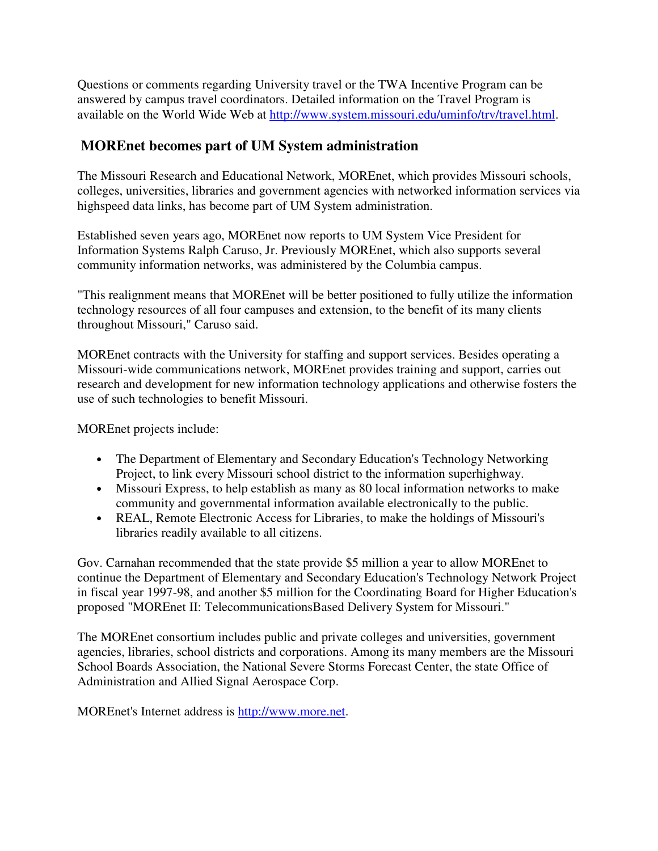Questions or comments regarding University travel or the TWA Incentive Program can be answered by campus travel coordinators. Detailed information on the Travel Program is available on the World Wide Web at http://www.system.missouri.edu/uminfo/trv/travel.html.

## **MOREnet becomes part of UM System administration**

The Missouri Research and Educational Network, MOREnet, which provides Missouri schools, colleges, universities, libraries and government agencies with networked information services via highspeed data links, has become part of UM System administration.

Established seven years ago, MOREnet now reports to UM System Vice President for Information Systems Ralph Caruso, Jr. Previously MOREnet, which also supports several community information networks, was administered by the Columbia campus.

"This realignment means that MOREnet will be better positioned to fully utilize the information technology resources of all four campuses and extension, to the benefit of its many clients throughout Missouri," Caruso said.

MOREnet contracts with the University for staffing and support services. Besides operating a Missouri-wide communications network, MOREnet provides training and support, carries out research and development for new information technology applications and otherwise fosters the use of such technologies to benefit Missouri.

MOREnet projects include:

- The Department of Elementary and Secondary Education's Technology Networking Project, to link every Missouri school district to the information superhighway.
- Missouri Express, to help establish as many as 80 local information networks to make community and governmental information available electronically to the public.
- REAL, Remote Electronic Access for Libraries, to make the holdings of Missouri's libraries readily available to all citizens.

Gov. Carnahan recommended that the state provide \$5 million a year to allow MOREnet to continue the Department of Elementary and Secondary Education's Technology Network Project in fiscal year 1997-98, and another \$5 million for the Coordinating Board for Higher Education's proposed "MOREnet II: TelecommunicationsBased Delivery System for Missouri."

The MOREnet consortium includes public and private colleges and universities, government agencies, libraries, school districts and corporations. Among its many members are the Missouri School Boards Association, the National Severe Storms Forecast Center, the state Office of Administration and Allied Signal Aerospace Corp.

MOREnet's Internet address is http://www.more.net.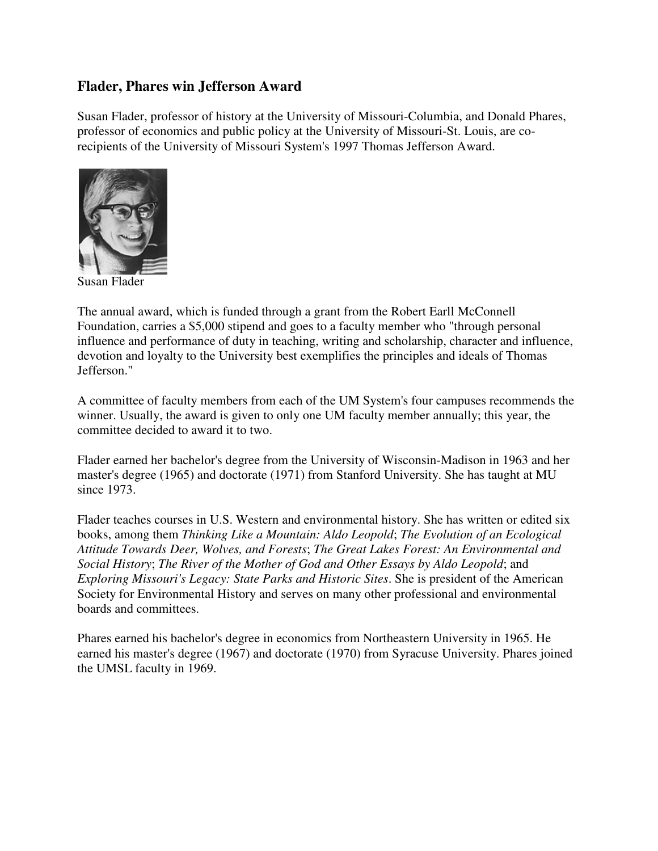### **Flader, Phares win Jefferson Award**

Susan Flader, professor of history at the University of Missouri-Columbia, and Donald Phares, professor of economics and public policy at the University of Missouri-St. Louis, are corecipients of the University of Missouri System's 1997 Thomas Jefferson Award.



Susan Flader

The annual award, which is funded through a grant from the Robert Earll McConnell Foundation, carries a \$5,000 stipend and goes to a faculty member who "through personal influence and performance of duty in teaching, writing and scholarship, character and influence, devotion and loyalty to the University best exemplifies the principles and ideals of Thomas Jefferson."

A committee of faculty members from each of the UM System's four campuses recommends the winner. Usually, the award is given to only one UM faculty member annually; this year, the committee decided to award it to two.

Flader earned her bachelor's degree from the University of Wisconsin-Madison in 1963 and her master's degree (1965) and doctorate (1971) from Stanford University. She has taught at MU since 1973.

Flader teaches courses in U.S. Western and environmental history. She has written or edited six books, among them *Thinking Like a Mountain: Aldo Leopold*; *The Evolution of an Ecological Attitude Towards Deer, Wolves, and Forests*; *The Great Lakes Forest: An Environmental and Social History*; *The River of the Mother of God and Other Essays by Aldo Leopold*; and *Exploring Missouri's Legacy: State Parks and Historic Sites*. She is president of the American Society for Environmental History and serves on many other professional and environmental boards and committees.

Phares earned his bachelor's degree in economics from Northeastern University in 1965. He earned his master's degree (1967) and doctorate (1970) from Syracuse University. Phares joined the UMSL faculty in 1969.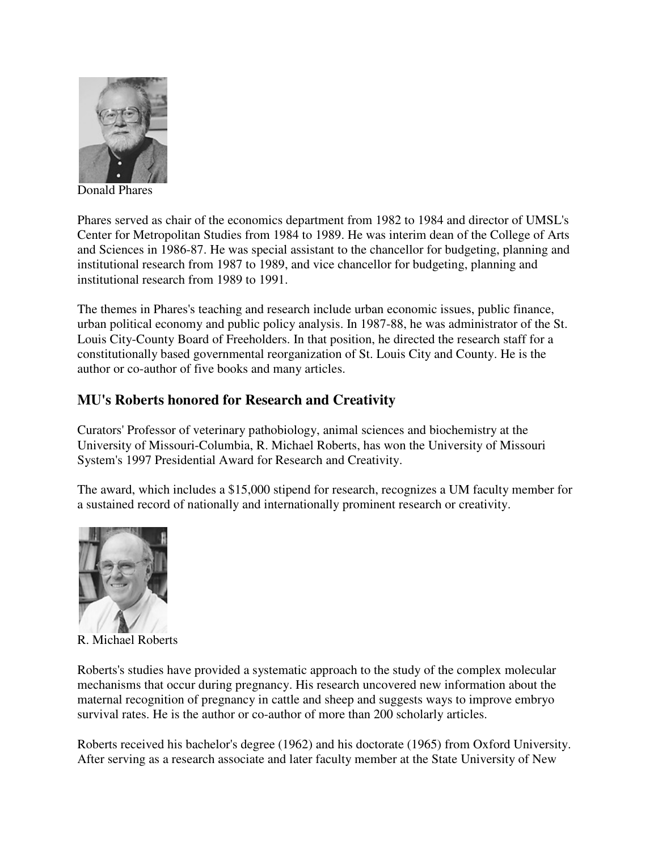

Donald Phares

Phares served as chair of the economics department from 1982 to 1984 and director of UMSL's Center for Metropolitan Studies from 1984 to 1989. He was interim dean of the College of Arts and Sciences in 1986-87. He was special assistant to the chancellor for budgeting, planning and institutional research from 1987 to 1989, and vice chancellor for budgeting, planning and institutional research from 1989 to 1991.

The themes in Phares's teaching and research include urban economic issues, public finance, urban political economy and public policy analysis. In 1987-88, he was administrator of the St. Louis City-County Board of Freeholders. In that position, he directed the research staff for a constitutionally based governmental reorganization of St. Louis City and County. He is the author or co-author of five books and many articles.

### **MU's Roberts honored for Research and Creativity**

Curators' Professor of veterinary pathobiology, animal sciences and biochemistry at the University of Missouri-Columbia, R. Michael Roberts, has won the University of Missouri System's 1997 Presidential Award for Research and Creativity.

The award, which includes a \$15,000 stipend for research, recognizes a UM faculty member for a sustained record of nationally and internationally prominent research or creativity.



R. Michael Roberts

Roberts's studies have provided a systematic approach to the study of the complex molecular mechanisms that occur during pregnancy. His research uncovered new information about the maternal recognition of pregnancy in cattle and sheep and suggests ways to improve embryo survival rates. He is the author or co-author of more than 200 scholarly articles.

Roberts received his bachelor's degree (1962) and his doctorate (1965) from Oxford University. After serving as a research associate and later faculty member at the State University of New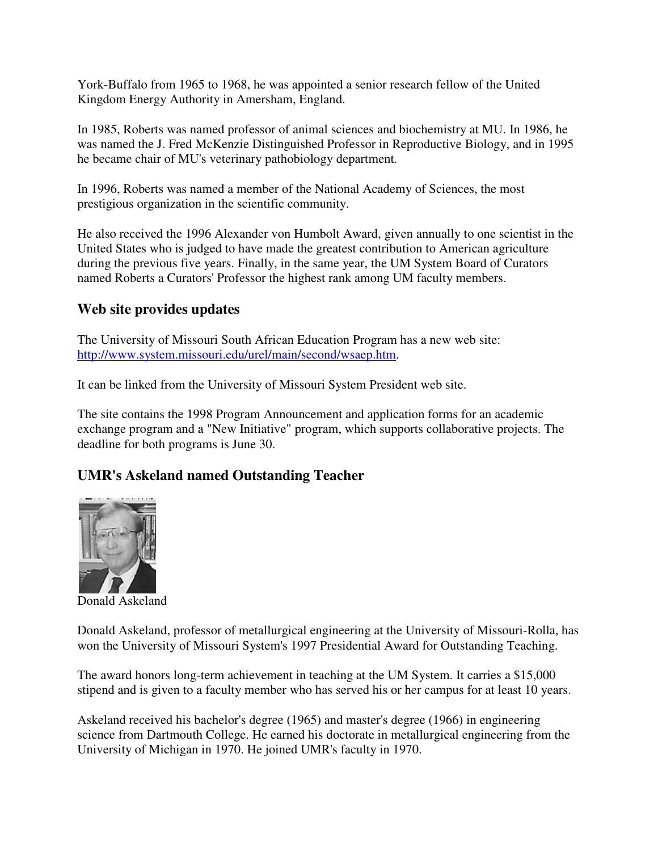York-Buffalo from 1965 to 1968, he was appointed a senior research fellow of the United Kingdom Energy Authority in Amersham, England.

In 1985, Roberts was named professor of animal sciences and biochemistry at MU. In 1986, he was named the J. Fred McKenzie Distinguished Professor in Reproductive Biology, and in 1995 he became chair of MU's veterinary pathobiology department.

In 1996, Roberts was named a member of the National Academy of Sciences, the most prestigious organization in the scientific community.

He also received the 1996 Alexander von Humbolt Award, given annually to one scientist in the United States who is judged to have made the greatest contribution to American agriculture during the previous five years. Finally, in the same year, the UM System Board of Curators named Roberts a Curators' Professor the highest rank among UM faculty members.

## **Web site provides updates**

The University of Missouri South African Education Program has a new web site: http://www.system.missouri.edu/urel/main/second/wsaep.htm.

It can be linked from the University of Missouri System President web site.

The site contains the 1998 Program Announcement and application forms for an academic exchange program and a "New Initiative" program, which supports collaborative projects. The deadline for both programs is June 30.

# **UMR's Askeland named Outstanding Teacher**



Donald Askeland

Donald Askeland, professor of metallurgical engineering at the University of Missouri-Rolla, has won the University of Missouri System's 1997 Presidential Award for Outstanding Teaching.

The award honors long-term achievement in teaching at the UM System. It carries a \$15,000 stipend and is given to a faculty member who has served his or her campus for at least 10 years.

Askeland received his bachelor's degree (1965) and master's degree (1966) in engineering science from Dartmouth College. He earned his doctorate in metallurgical engineering from the University of Michigan in 1970. He joined UMR's faculty in 1970.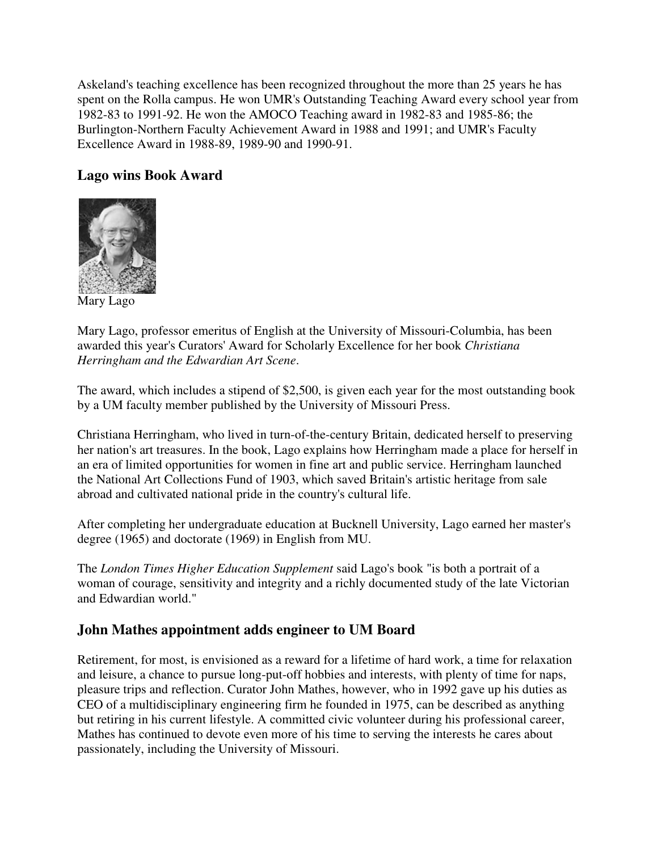Askeland's teaching excellence has been recognized throughout the more than 25 years he has spent on the Rolla campus. He won UMR's Outstanding Teaching Award every school year from 1982-83 to 1991-92. He won the AMOCO Teaching award in 1982-83 and 1985-86; the Burlington-Northern Faculty Achievement Award in 1988 and 1991; and UMR's Faculty Excellence Award in 1988-89, 1989-90 and 1990-91.

## **Lago wins Book Award**



Mary Lago

Mary Lago, professor emeritus of English at the University of Missouri-Columbia, has been awarded this year's Curators' Award for Scholarly Excellence for her book *Christiana Herringham and the Edwardian Art Scene*.

The award, which includes a stipend of \$2,500, is given each year for the most outstanding book by a UM faculty member published by the University of Missouri Press.

Christiana Herringham, who lived in turn-of-the-century Britain, dedicated herself to preserving her nation's art treasures. In the book, Lago explains how Herringham made a place for herself in an era of limited opportunities for women in fine art and public service. Herringham launched the National Art Collections Fund of 1903, which saved Britain's artistic heritage from sale abroad and cultivated national pride in the country's cultural life.

After completing her undergraduate education at Bucknell University, Lago earned her master's degree (1965) and doctorate (1969) in English from MU.

The *London Times Higher Education Supplement* said Lago's book "is both a portrait of a woman of courage, sensitivity and integrity and a richly documented study of the late Victorian and Edwardian world."

## **John Mathes appointment adds engineer to UM Board**

Retirement, for most, is envisioned as a reward for a lifetime of hard work, a time for relaxation and leisure, a chance to pursue long-put-off hobbies and interests, with plenty of time for naps, pleasure trips and reflection. Curator John Mathes, however, who in 1992 gave up his duties as CEO of a multidisciplinary engineering firm he founded in 1975, can be described as anything but retiring in his current lifestyle. A committed civic volunteer during his professional career, Mathes has continued to devote even more of his time to serving the interests he cares about passionately, including the University of Missouri.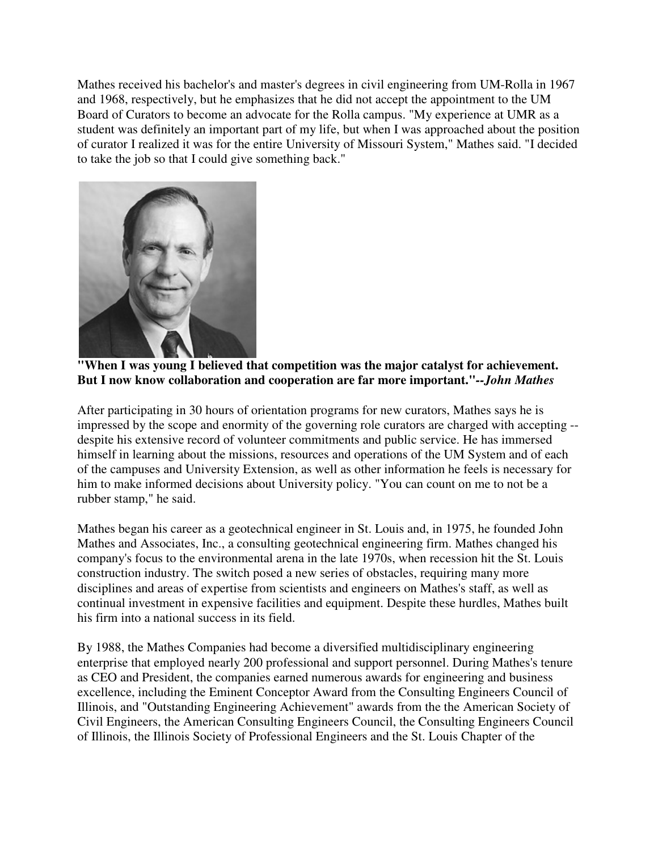Mathes received his bachelor's and master's degrees in civil engineering from UM-Rolla in 1967 and 1968, respectively, but he emphasizes that he did not accept the appointment to the UM Board of Curators to become an advocate for the Rolla campus. "My experience at UMR as a student was definitely an important part of my life, but when I was approached about the position of curator I realized it was for the entire University of Missouri System," Mathes said. "I decided to take the job so that I could give something back."





After participating in 30 hours of orientation programs for new curators, Mathes says he is impressed by the scope and enormity of the governing role curators are charged with accepting - despite his extensive record of volunteer commitments and public service. He has immersed himself in learning about the missions, resources and operations of the UM System and of each of the campuses and University Extension, as well as other information he feels is necessary for him to make informed decisions about University policy. "You can count on me to not be a rubber stamp," he said.

Mathes began his career as a geotechnical engineer in St. Louis and, in 1975, he founded John Mathes and Associates, Inc., a consulting geotechnical engineering firm. Mathes changed his company's focus to the environmental arena in the late 1970s, when recession hit the St. Louis construction industry. The switch posed a new series of obstacles, requiring many more disciplines and areas of expertise from scientists and engineers on Mathes's staff, as well as continual investment in expensive facilities and equipment. Despite these hurdles, Mathes built his firm into a national success in its field.

By 1988, the Mathes Companies had become a diversified multidisciplinary engineering enterprise that employed nearly 200 professional and support personnel. During Mathes's tenure as CEO and President, the companies earned numerous awards for engineering and business excellence, including the Eminent Conceptor Award from the Consulting Engineers Council of Illinois, and "Outstanding Engineering Achievement" awards from the the American Society of Civil Engineers, the American Consulting Engineers Council, the Consulting Engineers Council of Illinois, the Illinois Society of Professional Engineers and the St. Louis Chapter of the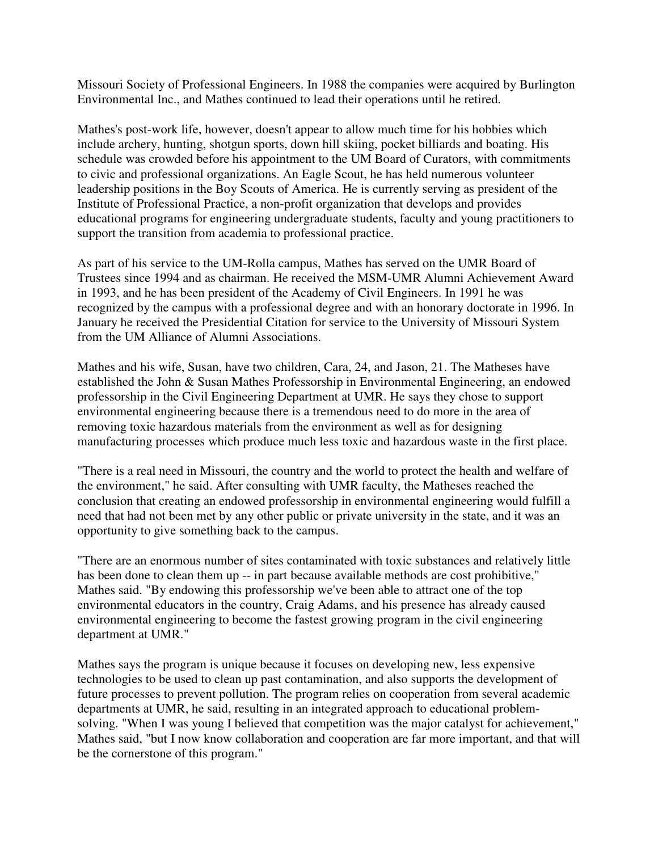Missouri Society of Professional Engineers. In 1988 the companies were acquired by Burlington Environmental Inc., and Mathes continued to lead their operations until he retired.

Mathes's post-work life, however, doesn't appear to allow much time for his hobbies which include archery, hunting, shotgun sports, down hill skiing, pocket billiards and boating. His schedule was crowded before his appointment to the UM Board of Curators, with commitments to civic and professional organizations. An Eagle Scout, he has held numerous volunteer leadership positions in the Boy Scouts of America. He is currently serving as president of the Institute of Professional Practice, a non-profit organization that develops and provides educational programs for engineering undergraduate students, faculty and young practitioners to support the transition from academia to professional practice.

As part of his service to the UM-Rolla campus, Mathes has served on the UMR Board of Trustees since 1994 and as chairman. He received the MSM-UMR Alumni Achievement Award in 1993, and he has been president of the Academy of Civil Engineers. In 1991 he was recognized by the campus with a professional degree and with an honorary doctorate in 1996. In January he received the Presidential Citation for service to the University of Missouri System from the UM Alliance of Alumni Associations.

Mathes and his wife, Susan, have two children, Cara, 24, and Jason, 21. The Matheses have established the John & Susan Mathes Professorship in Environmental Engineering, an endowed professorship in the Civil Engineering Department at UMR. He says they chose to support environmental engineering because there is a tremendous need to do more in the area of removing toxic hazardous materials from the environment as well as for designing manufacturing processes which produce much less toxic and hazardous waste in the first place.

"There is a real need in Missouri, the country and the world to protect the health and welfare of the environment," he said. After consulting with UMR faculty, the Matheses reached the conclusion that creating an endowed professorship in environmental engineering would fulfill a need that had not been met by any other public or private university in the state, and it was an opportunity to give something back to the campus.

"There are an enormous number of sites contaminated with toxic substances and relatively little has been done to clean them up -- in part because available methods are cost prohibitive," Mathes said. "By endowing this professorship we've been able to attract one of the top environmental educators in the country, Craig Adams, and his presence has already caused environmental engineering to become the fastest growing program in the civil engineering department at UMR."

Mathes says the program is unique because it focuses on developing new, less expensive technologies to be used to clean up past contamination, and also supports the development of future processes to prevent pollution. The program relies on cooperation from several academic departments at UMR, he said, resulting in an integrated approach to educational problemsolving. "When I was young I believed that competition was the major catalyst for achievement," Mathes said, "but I now know collaboration and cooperation are far more important, and that will be the cornerstone of this program."